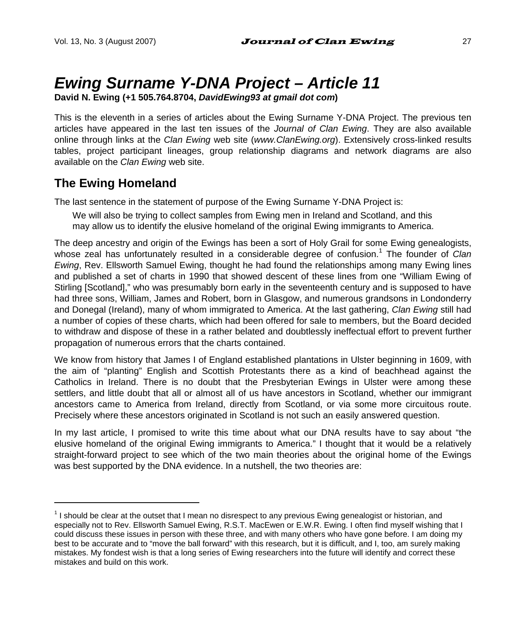# *Ewing Surname Y-DNA Project – Article 11*

**David N. Ewing (+1 505.764.8704,** *DavidEwing93 at gmail dot com***)** 

This is the eleventh in a series of articles about the Ewing Surname Y-DNA Project. The previous ten articles have appeared in the last ten issues of the *Journal of Clan Ewing*. They are also available online through links at the *Clan Ewing* web site (*www.ClanEwing.org*). Extensively cross-linked results tables, project participant lineages, group relationship diagrams and network diagrams are also available on the *Clan Ewing* web site.

### **The Ewing Homeland**

 $\overline{a}$ 

The last sentence in the statement of purpose of the Ewing Surname Y-DNA Project is:

We will also be trying to collect samples from Ewing men in Ireland and Scotland, and this may allow us to identify the elusive homeland of the original Ewing immigrants to America.

The deep ancestry and origin of the Ewings has been a sort of Holy Grail for some Ewing genealogists, whose zeal has unfortunately resulted in a considerable degree of confusion.<sup>1</sup> The founder of *Clan Ewing*, Rev. Ellsworth Samuel Ewing, thought he had found the relationships among many Ewing lines and published a set of charts in 1990 that showed descent of these lines from one "William Ewing of Stirling [Scotland]," who was presumably born early in the seventeenth century and is supposed to have had three sons, William, James and Robert, born in Glasgow, and numerous grandsons in Londonderry and Donegal (Ireland), many of whom immigrated to America. At the last gathering, *Clan Ewing* still had a number of copies of these charts, which had been offered for sale to members, but the Board decided to withdraw and dispose of these in a rather belated and doubtlessly ineffectual effort to prevent further propagation of numerous errors that the charts contained.

We know from history that James I of England established plantations in Ulster beginning in 1609, with the aim of "planting" English and Scottish Protestants there as a kind of beachhead against the Catholics in Ireland. There is no doubt that the Presbyterian Ewings in Ulster were among these settlers, and little doubt that all or almost all of us have ancestors in Scotland, whether our immigrant ancestors came to America from Ireland, directly from Scotland, or via some more circuitous route. Precisely where these ancestors originated in Scotland is not such an easily answered question.

In my last article, I promised to write this time about what our DNA results have to say about "the elusive homeland of the original Ewing immigrants to America." I thought that it would be a relatively straight-forward project to see which of the two main theories about the original home of the Ewings was best supported by the DNA evidence. In a nutshell, the two theories are:

<sup>&</sup>lt;sup>1</sup> I should be clear at the outset that I mean no disrespect to any previous Ewing genealogist or historian, and especially not to Rev. Ellsworth Samuel Ewing, R.S.T. MacEwen or E.W.R. Ewing. I often find myself wishing that I could discuss these issues in person with these three, and with many others who have gone before. I am doing my best to be accurate and to "move the ball forward" with this research, but it is difficult, and I, too, am surely making mistakes. My fondest wish is that a long series of Ewing researchers into the future will identify and correct these mistakes and build on this work.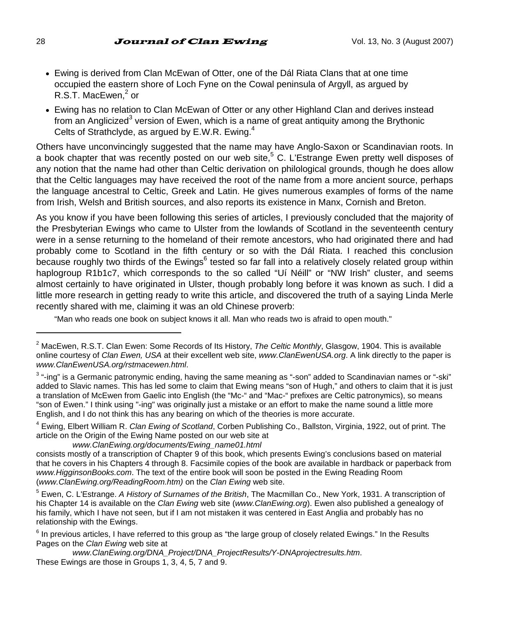- Ewing is derived from Clan McEwan of Otter, one of the Dál Riata Clans that at one time occupied the eastern shore of Loch Fyne on the Cowal peninsula of Argyll, as argued by  $R.S.\dot{T}$ . MacEwen, $^2$  or
- Ewing has no relation to Clan McEwan of Otter or any other Highland Clan and derives instead from an Anglicized<sup>3</sup> version of Ewen, which is a name of great antiquity among the Brythonic Celts of Strathclyde, as argued by E.W.R. Ewing.<sup>4</sup>

Others have unconvincingly suggested that the name may have Anglo-Saxon or Scandinavian roots. In a book chapter that was recently posted on our web site,<sup>5</sup> C. L'Estrange Ewen pretty well disposes of any notion that the name had other than Celtic derivation on philological grounds, though he does allow that the Celtic languages may have received the root of the name from a more ancient source, perhaps the language ancestral to Celtic, Greek and Latin. He gives numerous examples of forms of the name from Irish, Welsh and British sources, and also reports its existence in Manx, Cornish and Breton.

As you know if you have been following this series of articles, I previously concluded that the majority of the Presbyterian Ewings who came to Ulster from the lowlands of Scotland in the seventeenth century were in a sense returning to the homeland of their remote ancestors, who had originated there and had probably come to Scotland in the fifth century or so with the Dál Riata. I reached this conclusion .<br>because roughly two thirds of the Ewings<sup>6</sup> tested so far fall into a relatively closely related group within haplogroup R1b1c7, which corresponds to the so called "Uí Néill" or "NW Irish" cluster, and seems almost certainly to have originated in Ulster, though probably long before it was known as such. I did a little more research in getting ready to write this article, and discovered the truth of a saying Linda Merle recently shared with me, claiming it was an old Chinese proverb:

"Man who reads one book on subject knows it all. Man who reads two is afraid to open mouth."

4 Ewing, Elbert William R. *Clan Ewing of Scotland*, Corben Publishing Co., Ballston, Virginia, 1922, out of print. The article on the Origin of the Ewing Name posted on our web site at

<sup>2</sup> MacEwen, R.S.T. Clan Ewen: Some Records of Its History, *The Celtic Monthly*, Glasgow, 1904. This is available online courtesy of *Clan Ewen, USA* at their excellent web site, *www.ClanEwenUSA.org*. A link directly to the paper is *www.ClanEwenUSA.org/rstmacewen.html*.

<sup>3</sup> "-ing" is a Germanic patronymic ending, having the same meaning as "-son" added to Scandinavian names or "-ski" added to Slavic names. This has led some to claim that Ewing means "son of Hugh," and others to claim that it is just a translation of McEwen from Gaelic into English (the "Mc-" and "Mac-" prefixes are Celtic patronymics), so means "son of Ewen." I think using "-ing" was originally just a mistake or an effort to make the name sound a little more English, and I do not think this has any bearing on which of the theories is more accurate.

*www.ClanEwing.org/documents/Ewing\_name01.html*

consists mostly of a transcription of Chapter 9 of this book, which presents Ewing's conclusions based on material that he covers in his Chapters 4 through 8. Facsimile copies of the book are available in hardback or paperback from *www.HigginsonBooks.com*. The text of the entire book will soon be posted in the Ewing Reading Room (*www.ClanEwing.org/ReadingRoom.htm)* on the *Clan Ewing* web site.

<sup>5</sup> Ewen, C. L'Estrange. *A History of Surnames of the British*, The Macmillan Co., New York, 1931. A transcription of his Chapter 14 is available on the *Clan Ewing* web site (*www.ClanEwing.org*). Ewen also published a genealogy of his family, which I have not seen, but if I am not mistaken it was centered in East Anglia and probably has no relationship with the Ewings.

<sup>&</sup>lt;sup>6</sup> In previous articles, I have referred to this group as "the large group of closely related Ewings." In the Results Pages on the *Clan Ewing* web site at

*www.ClanEwing.org/DNA\_Project/DNA\_ProjectResults/Y-DNAprojectresults.htm*. These Ewings are those in Groups 1, 3, 4, 5, 7 and 9.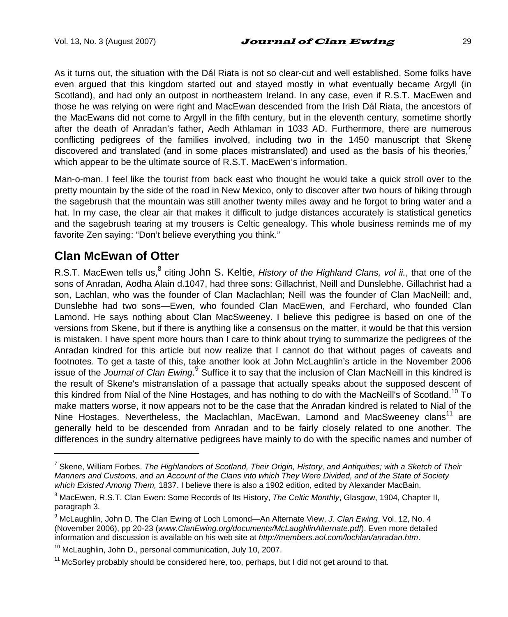As it turns out, the situation with the Dál Riata is not so clear-cut and well established. Some folks have even argued that this kingdom started out and stayed mostly in what eventually became Argyll (in Scotland), and had only an outpost in northeastern Ireland. In any case, even if R.S.T. MacEwen and those he was relying on were right and MacEwan descended from the Irish Dál Riata, the ancestors of the MacEwans did not come to Argyll in the fifth century, but in the eleventh century, sometime shortly after the death of Anradan's father, Aedh Athlaman in 1033 AD. Furthermore, there are numerous conflicting pedigrees of the families involved, including two in the 1450 manuscript that Skene discovered and translated (and in some places mistranslated) and used as the basis of his theories.<sup>7</sup> which appear to be the ultimate source of R.S.T. MacEwen's information.

Man-o-man. I feel like the tourist from back east who thought he would take a quick stroll over to the pretty mountain by the side of the road in New Mexico, only to discover after two hours of hiking through the sagebrush that the mountain was still another twenty miles away and he forgot to bring water and a hat. In my case, the clear air that makes it difficult to judge distances accurately is statistical genetics and the sagebrush tearing at my trousers is Celtic genealogy. This whole business reminds me of my favorite Zen saying: "Don't believe everything you think."

# **Clan McEwan of Otter**

 $\overline{a}$ 

R.S.T. MacEwen tells us, <sup>8</sup> citing John S. Keltie, *History of the Highland Clans, vol ii.*, that one of the sons of Anradan, Aodha Alain d.1047, had three sons: Gillachrist, Neill and Dunslebhe. Gillachrist had a son, Lachlan, who was the founder of Clan Maclachlan; Neill was the founder of Clan MacNeill; and, Dunslebhe had two sons—Ewen, who founded Clan MacEwen, and Ferchard, who founded Clan Lamond. He says nothing about Clan MacSweeney. I believe this pedigree is based on one of the versions from Skene, but if there is anything like a consensus on the matter, it would be that this version is mistaken. I have spent more hours than I care to think about trying to summarize the pedigrees of the Anradan kindred for this article but now realize that I cannot do that without pages of caveats and footnotes. To get a taste of this, take another look at John McLaughlin's article in the November 2006 issue of the Journal of Clan Ewing.<sup>9</sup> Suffice it to say that the inclusion of Clan MacNeill in this kindred is the result of Skene's mistranslation of a passage that actually speaks about the supposed descent of this kindred from Nial of the Nine Hostages, and has nothing to do with the MacNeill's of Scotland.<sup>10</sup> To make matters worse, it now appears not to be the case that the Anradan kindred is related to Nial of the Nine Hostages. Nevertheless, the Maclachlan, MacEwan, Lamond and MacSweeney clans<sup>11</sup> are generally held to be descended from Anradan and to be fairly closely related to one another. The differences in the sundry alternative pedigrees have mainly to do with the specific names and number of

<sup>7</sup> Skene, William Forbes. *The Highlanders of Scotland, Their Origin, History, and Antiquities; with a Sketch of Their Manners and Customs, and an Account of the Clans into which They Were Divided, and of the State of Society which Existed Among Them,* 1837. I believe there is also a 1902 edition, edited by Alexander MacBain.

<sup>8</sup> MacEwen, R.S.T. Clan Ewen: Some Records of Its History, *The Celtic Monthly*, Glasgow, 1904, Chapter II, paragraph 3.

<sup>9</sup> McLaughlin, John D. The Clan Ewing of Loch Lomond—An Alternate View, *J. Clan Ewing*, Vol. 12, No. 4 (November 2006), pp 20-23 (*www.ClanEwing.org/documents/McLaughlinAlternate.pdf*). Even more detailed information and discussion is available on his web site at *http://members.aol.com/lochlan/anradan.htm*.

<sup>&</sup>lt;sup>10</sup> McLaughlin, John D., personal communication, July 10, 2007.

 $11$  McSorley probably should be considered here, too, perhaps, but I did not get around to that.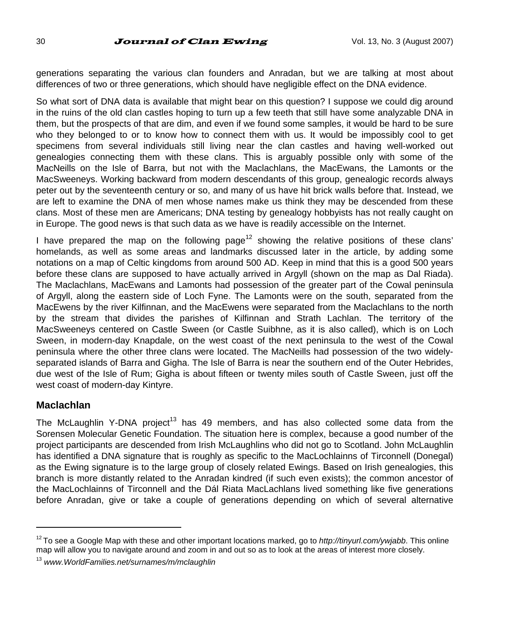generations separating the various clan founders and Anradan, but we are talking at most about differences of two or three generations, which should have negligible effect on the DNA evidence.

So what sort of DNA data is available that might bear on this question? I suppose we could dig around in the ruins of the old clan castles hoping to turn up a few teeth that still have some analyzable DNA in them, but the prospects of that are dim, and even if we found some samples, it would be hard to be sure who they belonged to or to know how to connect them with us. It would be impossibly cool to get specimens from several individuals still living near the clan castles and having well-worked out genealogies connecting them with these clans. This is arguably possible only with some of the MacNeills on the Isle of Barra, but not with the Maclachlans, the MacEwans, the Lamonts or the MacSweeneys. Working backward from modern descendants of this group, genealogic records always peter out by the seventeenth century or so, and many of us have hit brick walls before that. Instead, we are left to examine the DNA of men whose names make us think they may be descended from these clans. Most of these men are Americans; DNA testing by genealogy hobbyists has not really caught on in Europe. The good news is that such data as we have is readily accessible on the Internet.

I have prepared the map on the following page<sup>12</sup> showing the relative positions of these clans' homelands, as well as some areas and landmarks discussed later in the article, by adding some notations on a map of Celtic kingdoms from around 500 AD. Keep in mind that this is a good 500 years before these clans are supposed to have actually arrived in Argyll (shown on the map as Dal Riada). The Maclachlans, MacEwans and Lamonts had possession of the greater part of the Cowal peninsula of Argyll, along the eastern side of Loch Fyne. The Lamonts were on the south, separated from the MacEwens by the river Kilfinnan, and the MacEwens were separated from the Maclachlans to the north by the stream that divides the parishes of Kilfinnan and Strath Lachlan. The territory of the MacSweeneys centered on Castle Sween (or Castle Suibhne, as it is also called), which is on Loch Sween, in modern-day Knapdale, on the west coast of the next peninsula to the west of the Cowal peninsula where the other three clans were located. The MacNeills had possession of the two widelyseparated islands of Barra and Gigha. The Isle of Barra is near the southern end of the Outer Hebrides, due west of the Isle of Rum; Gigha is about fifteen or twenty miles south of Castle Sween, just off the west coast of modern-day Kintyre.

#### **Maclachlan**

 $\overline{a}$ 

The McLaughlin Y-DNA project<sup>13</sup> has 49 members, and has also collected some data from the Sorensen Molecular Genetic Foundation. The situation here is complex, because a good number of the project participants are descended from Irish McLaughlins who did not go to Scotland. John McLaughlin has identified a DNA signature that is roughly as specific to the MacLochlainns of Tirconnell (Donegal) as the Ewing signature is to the large group of closely related Ewings. Based on Irish genealogies, this branch is more distantly related to the Anradan kindred (if such even exists); the common ancestor of the MacLochlainns of Tirconnell and the Dál Riata MacLachlans lived something like five generations before Anradan, give or take a couple of generations depending on which of several alternative

<sup>12</sup> To see a Google Map with these and other important locations marked, go to *http://tinyurl.com/ywjabb*. This online map will allow you to navigate around and zoom in and out so as to look at the areas of interest more closely.

<sup>13</sup> *www.WorldFamilies.net/surnames/m/mclaughlin*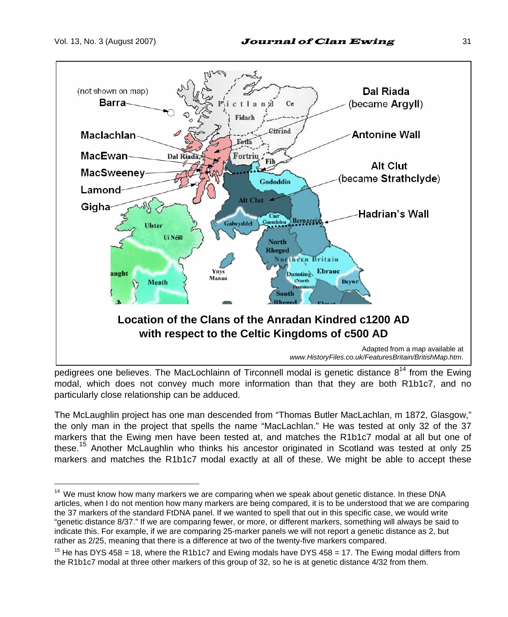$\overline{a}$ 



pedigrees one believes. The MacLochlainn of Tirconnell modal is genetic distance  $8^{14}$  from the Ewing modal, which does not convey much more information than that they are both R1b1c7, and no particularly close relationship can be adduced.

The McLaughlin project has one man descended from "Thomas Butler MacLachlan, m 1872, Glasgow," the only man in the project that spells the name "MacLachlan." He was tested at only 32 of the 37 markers that the Ewing men have been tested at, and matches the R1b1c7 modal at all but one of these.<sup>15</sup> Another McLaughlin who thinks his ancestor originated in Scotland was tested at only 25 markers and matches the R1b1c7 modal exactly at all of these. We might be able to accept these

<sup>&</sup>lt;sup>14</sup> We must know how many markers we are comparing when we speak about genetic distance. In these DNA articles, when I do not mention how many markers are being compared, it is to be understood that we are comparing the 37 markers of the standard FtDNA panel. If we wanted to spell that out in this specific case, we would write "genetic distance 8/37." If we are comparing fewer, or more, or different markers, something will always be said to indicate this. For example, if we are comparing 25-marker panels we will not report a genetic distance as 2, but rather as 2/25, meaning that there is a difference at two of the twenty-five markers compared.

<sup>&</sup>lt;sup>15</sup> He has DYS 458 = 18, where the R1b1c7 and Ewing modals have DYS 458 = 17. The Ewing modal differs from the R1b1c7 modal at three other markers of this group of 32, so he is at genetic distance 4/32 from them.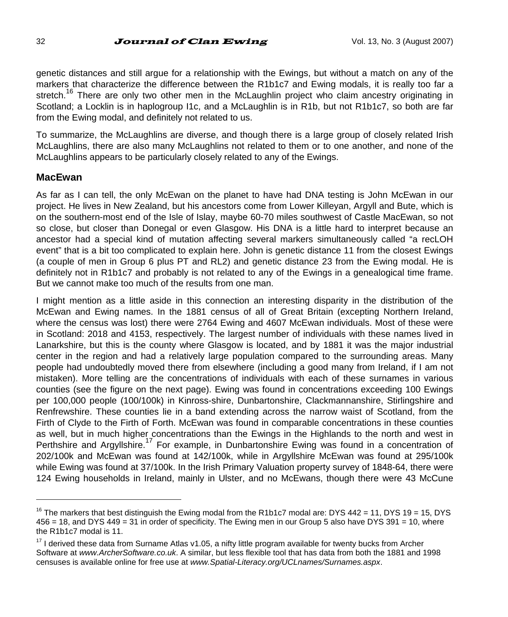genetic distances and still argue for a relationship with the Ewings, but without a match on any of the markers that characterize the difference between the R1b1c7 and Ewing modals, it is really too far a stretch.<sup>16</sup> There are only two other men in the McLaughlin project who claim ancestry originating in Scotland; a Locklin is in haplogroup I1c, and a McLaughlin is in R1b, but not R1b1c7, so both are far from the Ewing modal, and definitely not related to us.

To summarize, the McLaughlins are diverse, and though there is a large group of closely related Irish McLaughlins, there are also many McLaughlins not related to them or to one another, and none of the McLaughlins appears to be particularly closely related to any of the Ewings.

#### **MacEwan**

 $\overline{a}$ 

As far as I can tell, the only McEwan on the planet to have had DNA testing is John McEwan in our project. He lives in New Zealand, but his ancestors come from Lower Killeyan, Argyll and Bute, which is on the southern-most end of the Isle of Islay, maybe 60-70 miles southwest of Castle MacEwan, so not so close, but closer than Donegal or even Glasgow. His DNA is a little hard to interpret because an ancestor had a special kind of mutation affecting several markers simultaneously called "a recLOH event" that is a bit too complicated to explain here. John is genetic distance 11 from the closest Ewings (a couple of men in Group 6 plus PT and RL2) and genetic distance 23 from the Ewing modal. He is definitely not in R1b1c7 and probably is not related to any of the Ewings in a genealogical time frame. But we cannot make too much of the results from one man.

I might mention as a little aside in this connection an interesting disparity in the distribution of the McEwan and Ewing names. In the 1881 census of all of Great Britain (excepting Northern Ireland, where the census was lost) there were 2764 Ewing and 4607 McEwan individuals. Most of these were in Scotland: 2018 and 4153, respectively. The largest number of individuals with these names lived in Lanarkshire, but this is the county where Glasgow is located, and by 1881 it was the major industrial center in the region and had a relatively large population compared to the surrounding areas. Many people had undoubtedly moved there from elsewhere (including a good many from Ireland, if I am not mistaken). More telling are the concentrations of individuals with each of these surnames in various counties (see the figure on the next page). Ewing was found in concentrations exceeding 100 Ewings per 100,000 people (100/100k) in Kinross-shire, Dunbartonshire, Clackmannanshire, Stirlingshire and Renfrewshire. These counties lie in a band extending across the narrow waist of Scotland, from the Firth of Clyde to the Firth of Forth. McEwan was found in comparable concentrations in these counties as well, but in much higher concentrations than the Ewings in the Highlands to the north and west in Perthshire and Argyllshire.<sup>17</sup> For example, in Dunbartonshire Ewing was found in a concentration of 202/100k and McEwan was found at 142/100k, while in Argyllshire McEwan was found at 295/100k while Ewing was found at 37/100k. In the Irish Primary Valuation property survey of 1848-64, there were 124 Ewing households in Ireland, mainly in Ulster, and no McEwans, though there were 43 McCune

<sup>&</sup>lt;sup>16</sup> The markers that best distinguish the Ewing modal from the R1b1c7 modal are: DYS 442 = 11, DYS 19 = 15, DYS 456 = 18, and DYS 449 = 31 in order of specificity. The Ewing men in our Group 5 also have DYS 391 = 10, where the R1b1c7 modal is 11.

 $17$  I derived these data from Surname Atlas v1.05, a nifty little program available for twenty bucks from Archer Software at *www.ArcherSoftware.co.uk*. A similar, but less flexible tool that has data from both the 1881 and 1998 censuses is available online for free use at *www.Spatial-Literacy.org/UCLnames/Surnames.aspx*.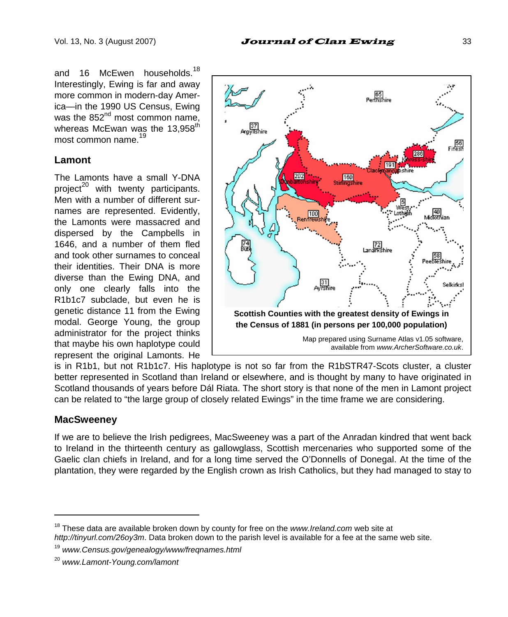and 16 McEwen households.<sup>18</sup> Interestingly, Ewing is far and away more common in modern-day America—in the 1990 US Census, Ewing was the  $852<sup>nd</sup>$  most common name. whereas McEwan was the 13.958<sup>th</sup> most common name.

#### **Lamont**

The Lamonts have a small Y-DNA project $^{20}$  with twenty participants. Men with a number of different surnames are represented. Evidently, the Lamonts were massacred and dispersed by the Campbells in 1646, and a number of them fled and took other surnames to conceal their identities. Their DNA is more diverse than the Ewing DNA, and only one clearly falls into the R1b1c7 subclade, but even he is genetic distance 11 from the Ewing modal. George Young, the group administrator for the project thinks that maybe his own haplotype could represent the original Lamonts. He



is in R1b1, but not R1b1c7. His haplotype is not so far from the R1bSTR47-Scots cluster, a cluster better represented in Scotland than Ireland or elsewhere, and is thought by many to have originated in Scotland thousands of years before Dál Riata. The short story is that none of the men in Lamont project can be related to "the large group of closely related Ewings" in the time frame we are considering.

### **MacSweeney**

 $\overline{a}$ 

If we are to believe the Irish pedigrees, MacSweeney was a part of the Anradan kindred that went back to Ireland in the thirteenth century as gallowglass, Scottish mercenaries who supported some of the Gaelic clan chiefs in Ireland, and for a long time served the O'Donnells of Donegal. At the time of the plantation, they were regarded by the English crown as Irish Catholics, but they had managed to stay to

<sup>18</sup> These data are available broken down by county for free on the *www.Ireland.com* web site at *http://tinyurl.com/26oy3m*. Data broken down to the parish level is available for a fee at the same web site.

<sup>19</sup> *www.Census.gov/genealogy/www/freqnames.html*

<sup>20</sup> *www.Lamont-Young.com/lamont*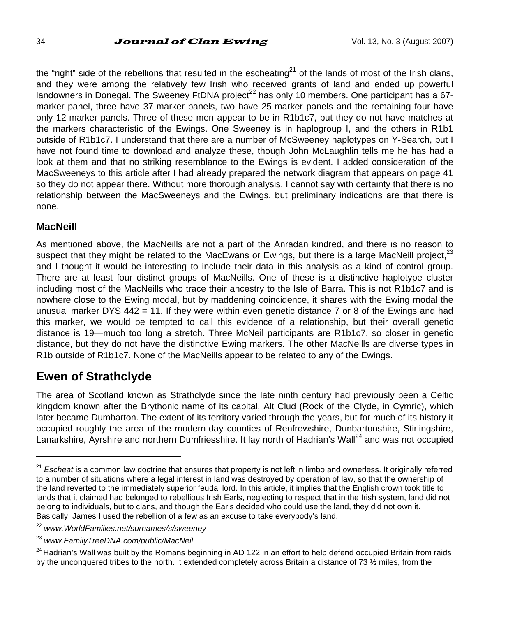the "right" side of the rebellions that resulted in the escheating<sup>21</sup> of the lands of most of the Irish clans, and they were among the relatively few Irish who received grants of land and ended up powerful  $\mu$ landowners in Donegal. The Sweeney FtDNA project<sup>22</sup> has only 10 members. One participant has a 67marker panel, three have 37-marker panels, two have 25-marker panels and the remaining four have only 12-marker panels. Three of these men appear to be in R1b1c7, but they do not have matches at the markers characteristic of the Ewings. One Sweeney is in haplogroup I, and the others in R1b1 outside of R1b1c7. I understand that there are a number of McSweeney haplotypes on Y-Search, but I have not found time to download and analyze these, though John McLaughlin tells me he has had a look at them and that no striking resemblance to the Ewings is evident. I added consideration of the MacSweeneys to this article after I had already prepared the network diagram that appears on page 41 so they do not appear there. Without more thorough analysis, I cannot say with certainty that there is no relationship between the MacSweeneys and the Ewings, but preliminary indications are that there is none.

#### **MacNeill**

 $\overline{a}$ 

As mentioned above, the MacNeills are not a part of the Anradan kindred, and there is no reason to suspect that they might be related to the MacEwans or Ewings, but there is a large MacNeill project.<sup>23</sup> and I thought it would be interesting to include their data in this analysis as a kind of control group. There are at least four distinct groups of MacNeills. One of these is a distinctive haplotype cluster including most of the MacNeills who trace their ancestry to the Isle of Barra. This is not R1b1c7 and is nowhere close to the Ewing modal, but by maddening coincidence, it shares with the Ewing modal the unusual marker DYS 442 = 11. If they were within even genetic distance 7 or 8 of the Ewings and had this marker, we would be tempted to call this evidence of a relationship, but their overall genetic distance is 19—much too long a stretch. Three McNeil participants are R1b1c7, so closer in genetic distance, but they do not have the distinctive Ewing markers. The other MacNeills are diverse types in R1b outside of R1b1c7. None of the MacNeills appear to be related to any of the Ewings.

### **Ewen of Strathclyde**

The area of Scotland known as Strathclyde since the late ninth century had previously been a Celtic kingdom known after the Brythonic name of its capital, Alt Clud (Rock of the Clyde, in Cymric), which later became Dumbarton. The extent of its territory varied through the years, but for much of its history it occupied roughly the area of the modern-day counties of Renfrewshire, Dunbartonshire, Stirlingshire, Lanarkshire, Ayrshire and northern Dumfriesshire. It lay north of Hadrian's Wall<sup>24</sup> and was not occupied

<sup>&</sup>lt;sup>21</sup> Escheat is a common law doctrine that ensures that property is not left in limbo and ownerless. It originally referred to a number of situations where a legal interest in land was destroyed by operation of law, so that the ownership of the land reverted to the immediately superior feudal lord. In this article, it implies that the English crown took title to lands that it claimed had belonged to rebellious Irish Earls, neglecting to respect that in the Irish system, land did not belong to individuals, but to clans, and though the Earls decided who could use the land, they did not own it. Basically, James I used the rebellion of a few as an excuse to take everybody's land.

<sup>22</sup> *www.WorldFamilies.net/surnames/s/sweeney* 

<sup>23</sup> *www.FamilyTreeDNA.com/public/MacNeil* 

 $24$  Hadrian's Wall was built by the Romans beginning in AD 122 in an effort to help defend occupied Britain from raids by the unconquered tribes to the north. It extended completely across Britain a distance of 73  $\frac{1}{2}$  miles, from the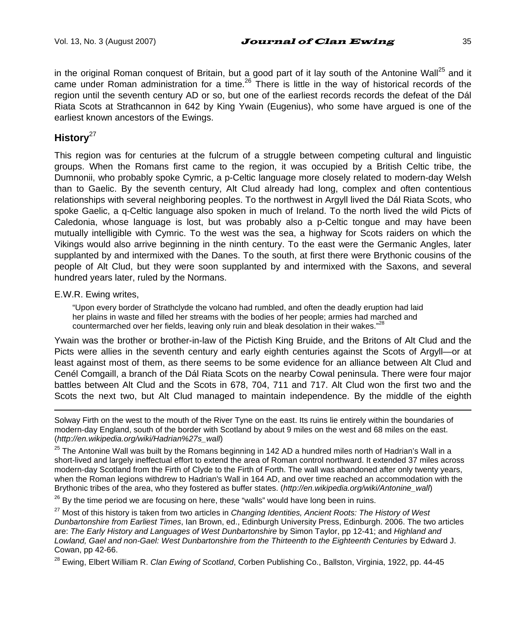in the original Roman conquest of Britain, but a good part of it lay south of the Antonine Wall<sup>25</sup> and it came under Roman administration for a time.<sup>26</sup> There is little in the way of historical records of the region until the seventh century AD or so, but one of the earliest records records the defeat of the Dál Riata Scots at Strathcannon in 642 by King Ywain (Eugenius), who some have argued is one of the earliest known ancestors of the Ewings.

### **History**<sup>27</sup>

This region was for centuries at the fulcrum of a struggle between competing cultural and linguistic groups. When the Romans first came to the region, it was occupied by a British Celtic tribe, the Dumnonii, who probably spoke Cymric, a p-Celtic language more closely related to modern-day Welsh than to Gaelic. By the seventh century, Alt Clud already had long, complex and often contentious relationships with several neighboring peoples. To the northwest in Argyll lived the Dál Riata Scots, who spoke Gaelic, a q-Celtic language also spoken in much of Ireland. To the north lived the wild Picts of Caledonia, whose language is lost, but was probably also a p-Celtic tongue and may have been mutually intelligible with Cymric. To the west was the sea, a highway for Scots raiders on which the Vikings would also arrive beginning in the ninth century. To the east were the Germanic Angles, later supplanted by and intermixed with the Danes. To the south, at first there were Brythonic cousins of the people of Alt Clud, but they were soon supplanted by and intermixed with the Saxons, and several hundred years later, ruled by the Normans.

#### E.W.R. Ewing writes,

 $\overline{a}$ 

"Upon every border of Strathclyde the volcano had rumbled, and often the deadly eruption had laid her plains in waste and filled her streams with the bodies of her people; armies had marched and countermarched over her fields, leaving only ruin and bleak desolation in their wakes."<sup>28</sup>

Ywain was the brother or brother-in-law of the Pictish King Bruide, and the Britons of Alt Clud and the Picts were allies in the seventh century and early eighth centuries against the Scots of Argyll—or at least against most of them, as there seems to be some evidence for an alliance between Alt Clud and Cenél Comgaill, a branch of the Dál Riata Scots on the nearby Cowal peninsula. There were four major battles between Alt Clud and the Scots in 678, 704, 711 and 717. Alt Clud won the first two and the Scots the next two, but Alt Clud managed to maintain independence. By the middle of the eighth

Solway Firth on the west to the mouth of the River Tyne on the east. Its ruins lie entirely within the boundaries of modern-day England, south of the border with Scotland by about 9 miles on the west and 68 miles on the east. (*http://en.wikipedia.org/wiki/Hadrian%27s\_wall*)

 $^{25}$  The Antonine Wall was built by the Romans beginning in 142 AD a hundred miles north of Hadrian's Wall in a short-lived and largely ineffectual effort to extend the area of Roman control northward. It extended 37 miles across modern-day Scotland from the Firth of Clyde to the Firth of Forth. The wall was abandoned after only twenty years, when the Roman legions withdrew to Hadrian's Wall in 164 AD, and over time reached an accommodation with the Brythonic tribes of the area, who they fostered as buffer states. (*http://en.wikipedia.org/wiki/Antonine\_wall*)

 $26$  By the time period we are focusing on here, these "walls" would have long been in ruins.

27 Most of this history is taken from two articles in *Changing Identities, Ancient Roots: The History of West Dunbartonshire from Earliest Times*, Ian Brown, ed., Edinburgh University Press, Edinburgh. 2006. The two articles are: *The Early History and Languages of West Dunbartonshire* by Simon Taylor, pp 12-41; and *Highland and Lowland, Gael and non-Gael: West Dunbartonshire from the Thirteenth to the Eighteenth Centuries* by Edward J. Cowan, pp 42-66.

28 Ewing, Elbert William R. *Clan Ewing of Scotland*, Corben Publishing Co., Ballston, Virginia, 1922, pp. 44-45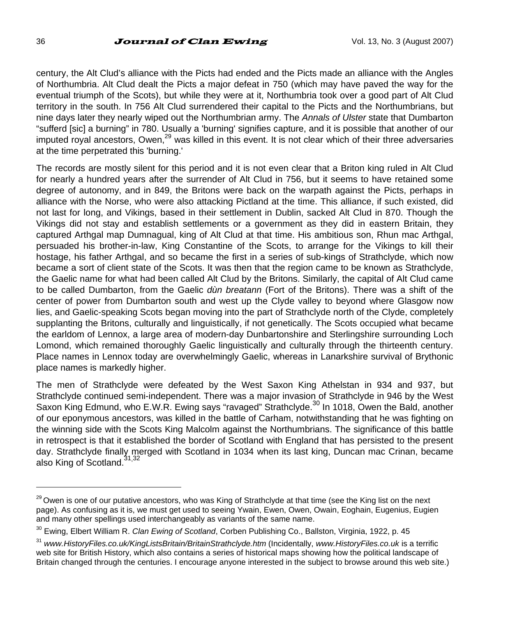century, the Alt Clud's alliance with the Picts had ended and the Picts made an alliance with the Angles of Northumbria. Alt Clud dealt the Picts a major defeat in 750 (which may have paved the way for the eventual triumph of the Scots), but while they were at it, Northumbria took over a good part of Alt Clud territory in the south. In 756 Alt Clud surrendered their capital to the Picts and the Northumbrians, but nine days later they nearly wiped out the Northumbrian army. The *Annals of Ulster* state that Dumbarton "sufferd [sic] a burning" in 780. Usually a 'burning' signifies capture, and it is possible that another of our imputed royal ancestors, Owen,<sup>29</sup> was killed in this event. It is not clear which of their three adversaries at the time perpetrated this 'burning.'

The records are mostly silent for this period and it is not even clear that a Briton king ruled in Alt Clud for nearly a hundred years after the surrender of Alt Clud in 756, but it seems to have retained some degree of autonomy, and in 849, the Britons were back on the warpath against the Picts, perhaps in alliance with the Norse, who were also attacking Pictland at the time. This alliance, if such existed, did not last for long, and Vikings, based in their settlement in Dublin, sacked Alt Clud in 870. Though the Vikings did not stay and establish settlements or a government as they did in eastern Britain, they captured Arthgal map Dumnagual, king of Alt Clud at that time. His ambitious son, Rhun mac Arthgal, persuaded his brother-in-law, King Constantine of the Scots, to arrange for the Vikings to kill their hostage, his father Arthgal, and so became the first in a series of sub-kings of Strathclyde, which now became a sort of client state of the Scots. It was then that the region came to be known as Strathclyde, the Gaelic name for what had been called Alt Clud by the Britons. Similarly, the capital of Alt Clud came to be called Dumbarton, from the Gaelic *dùn breatann* (Fort of the Britons). There was a shift of the center of power from Dumbarton south and west up the Clyde valley to beyond where Glasgow now lies, and Gaelic-speaking Scots began moving into the part of Strathclyde north of the Clyde, completely supplanting the Britons, culturally and linguistically, if not genetically. The Scots occupied what became the earldom of Lennox, a large area of modern-day Dunbartonshire and Sterlingshire surrounding Loch Lomond, which remained thoroughly Gaelic linguistically and culturally through the thirteenth century. Place names in Lennox today are overwhelmingly Gaelic, whereas in Lanarkshire survival of Brythonic place names is markedly higher.

The men of Strathclyde were defeated by the West Saxon King Athelstan in 934 and 937, but Strathclyde continued semi-independent. There was a major invasion of Strathclyde in 946 by the West Saxon King Edmund, who E.W.R. Ewing says "ravaged" Strathclyde.<sup>30</sup> In 1018, Owen the Bald, another of our eponymous ancestors, was killed in the battle of Carham, notwithstanding that he was fighting on the winning side with the Scots King Malcolm against the Northumbrians. The significance of this battle in retrospect is that it established the border of Scotland with England that has persisted to the present day. Strathclyde finally merged with Scotland in 1034 when its last king, Duncan mac Crinan, became also King of Scotland.<sup>31,32</sup>

<sup>&</sup>lt;sup>29</sup> Owen is one of our putative ancestors, who was King of Strathclyde at that time (see the King list on the next page). As confusing as it is, we must get used to seeing Ywain, Ewen, Owen, Owain, Eoghain, Eugenius, Eugien and many other spellings used interchangeably as variants of the same name.

<sup>30</sup> Ewing, Elbert William R. *Clan Ewing of Scotland*, Corben Publishing Co., Ballston, Virginia, 1922, p. 45

<sup>31</sup> *www.HistoryFiles.co.uk/KingListsBritain/BritainStrathclyde.htm* (Incidentally, *www.HistoryFiles.co.uk* is a terrific web site for British History, which also contains a series of historical maps showing how the political landscape of Britain changed through the centuries. I encourage anyone interested in the subject to browse around this web site.)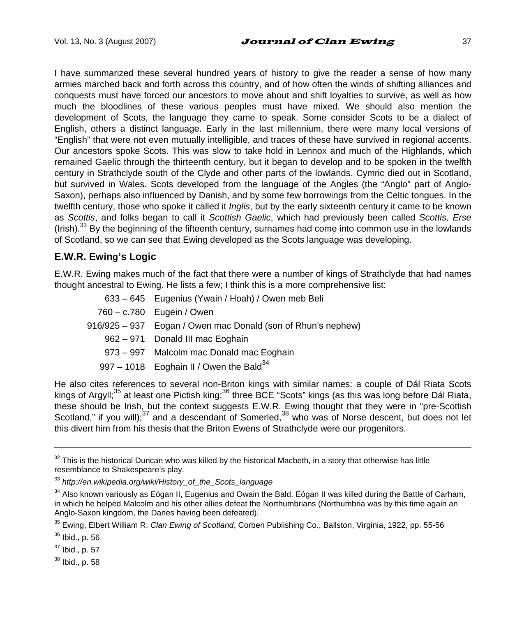I have summarized these several hundred years of history to give the reader a sense of how many armies marched back and forth across this country, and of how often the winds of shifting alliances and conquests must have forced our ancestors to move about and shift loyalties to survive, as well as how much the bloodlines of these various peoples must have mixed. We should also mention the development of Scots, the language they came to speak. Some consider Scots to be a dialect of English, others a distinct language. Early in the last millennium, there were many local versions of "English" that were not even mutually intelligible, and traces of these have survived in regional accents. Our ancestors spoke Scots. This was slow to take hold in Lennox and much of the Highlands, which remained Gaelic through the thirteenth century, but it began to develop and to be spoken in the twelfth century in Strathclyde south of the Clyde and other parts of the lowlands. Cymric died out in Scotland, but survived in Wales. Scots developed from the language of the Angles (the "Anglo" part of Anglo-Saxon), perhaps also influenced by Danish, and by some few borrowings from the Celtic tongues. In the twelfth century, those who spoke it called it *Inglis*, but by the early sixteenth century it came to be known as *Scottis*, and folks began to call it *Scottish Gaelic*, which had previously been called *Scottis, Erse* (Irish).<sup>33</sup> By the beginning of the fifteenth century, surnames had come into common use in the lowlands of Scotland, so we can see that Ewing developed as the Scots language was developing.

### **E.W.R. Ewing's Logic**

E.W.R. Ewing makes much of the fact that there were a number of kings of Strathclyde that had names thought ancestral to Ewing. He lists a few; I think this is a more comprehensive list:

| 633 - 645 Eugenius (Ywain / Hoah) / Owen meb Beli            |
|--------------------------------------------------------------|
| 760 - c.780 Eugein / Owen                                    |
| 916/925 – 937 Eogan / Owen mac Donald (son of Rhun's nephew) |
| 962 – 971 Donald III mac Eoghain                             |
| 973 – 997 Malcolm mac Donald mac Eoghain                     |
| 997 – 1018 Eoghain II / Owen the Bald $34$                   |
|                                                              |

He also cites references to several non-Briton kings with similar names: a couple of Dál Riata Scots kings of Argyll;<sup>35</sup> at least one Pictish king;<sup>36</sup> three BCE "Scots" kings (as this was long before Dál Riata, these should be Irish, but the context suggests E.W.R. Ewing thought that they were in "pre-Scottish Scotland," if you will);<sup>37</sup> and a descendant of Somerled,<sup>38</sup> who was of Norse descent, but does not let this divert him from his thesis that the Briton Ewens of Strathclyde were our progenitors.

 $32$  This is the historical Duncan who was killed by the historical Macbeth, in a story that otherwise has little resemblance to Shakespeare's play.

<sup>33</sup> *http://en.wikipedia.org/wiki/History\_of\_the\_Scots\_language*

<sup>&</sup>lt;sup>34</sup> Also known variously as Eógan II, Eugenius and Owain the Bald. Eógan II was killed during the Battle of Carham, in which he helped Malcolm and his other allies defeat the Northumbrians (Northumbria was by this time again an Anglo-Saxon kingdom, the Danes having been defeated).

<sup>35</sup> Ewing, Elbert William R. *Clan Ewing of Scotland*, Corben Publishing Co., Ballston, Virginia, 1922, pp. 55-56

<sup>36</sup> Ibid., p. 56

<sup>37</sup> Ibid., p. 57

<sup>38</sup> Ibid., p. 58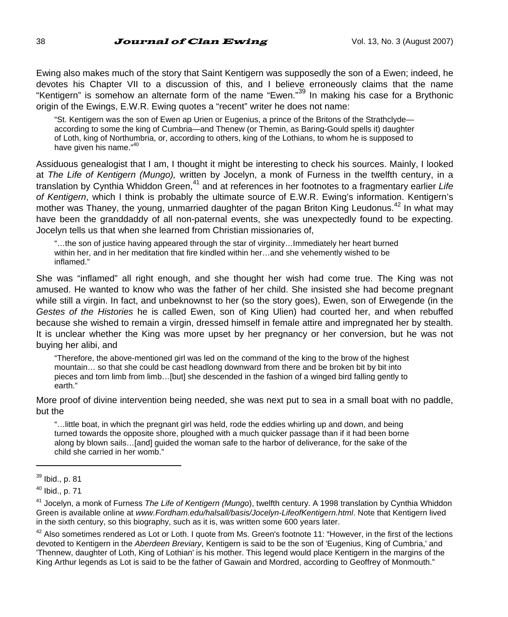Ewing also makes much of the story that Saint Kentigern was supposedly the son of a Ewen; indeed, he devotes his Chapter VII to a discussion of this, and I believe erroneously claims that the name "Kentigern" is somehow an alternate form of the name "Ewen."39 In making his case for a Brythonic origin of the Ewings, E.W.R. Ewing quotes a "recent" writer he does not name:

"St. Kentigern was the son of Ewen ap Urien or Eugenius, a prince of the Britons of the Strathclyde according to some the king of Cumbria—and Thenew (or Themin, as Baring-Gould spells it) daughter of Loth, king of Northumbria, or, according to others, king of the Lothians, to whom he is supposed to have given his name."<sup>40</sup>

Assiduous genealogist that I am, I thought it might be interesting to check his sources. Mainly, I looked at *The Life of Kentigern (Mungo),* written by Jocelyn, a monk of Furness in the twelfth century, in a translation by Cynthia Whiddon Green,41 and at references in her footnotes to a fragmentary earlier *Life of Kentigern*, which I think is probably the ultimate source of E.W.R. Ewing's information. Kentigern's mother was Thaney, the young, unmarried daughter of the pagan Briton King Leudonus.<sup>42</sup> In what may have been the granddaddy of all non-paternal events, she was unexpectedly found to be expecting. Jocelyn tells us that when she learned from Christian missionaries of,

"…the son of justice having appeared through the star of virginity…Immediately her heart burned within her, and in her meditation that fire kindled within her…and she vehemently wished to be inflamed."

She was "inflamed" all right enough, and she thought her wish had come true. The King was not amused. He wanted to know who was the father of her child. She insisted she had become pregnant while still a virgin. In fact, and unbeknownst to her (so the story goes), Ewen, son of Erwegende (in the *Gestes of the Histories* he is called Ewen, son of King Ulien) had courted her, and when rebuffed because she wished to remain a virgin, dressed himself in female attire and impregnated her by stealth. It is unclear whether the King was more upset by her pregnancy or her conversion, but he was not buying her alibi, and

"Therefore, the above-mentioned girl was led on the command of the king to the brow of the highest mountain… so that she could be cast headlong downward from there and be broken bit by bit into pieces and torn limb from limb…[but] she descended in the fashion of a winged bird falling gently to earth."

More proof of divine intervention being needed, she was next put to sea in a small boat with no paddle, but the

"…little boat, in which the pregnant girl was held, rode the eddies whirling up and down, and being turned towards the opposite shore, ploughed with a much quicker passage than if it had been borne along by blown sails…[and] guided the woman safe to the harbor of deliverance, for the sake of the child she carried in her womb."

 $\overline{a}$ 

 $^{42}$  Also sometimes rendered as Lot or Loth. I quote from Ms. Green's footnote 11: "However, in the first of the lections devoted to Kentigern in the *Aberdeen Breviary*, Kentigern is said to be the son of 'Eugenius, King of Cumbria,' and 'Thennew, daughter of Loth, King of Lothian' is his mother. This legend would place Kentigern in the margins of the King Arthur legends as Lot is said to be the father of Gawain and Mordred, according to Geoffrey of Monmouth."

 $39$  Ibid., p. 81

 $40$  Ibid., p. 71

<sup>41</sup> Jocelyn, a monk of Furness *The Life of Kentigern (Mungo*), twelfth century. A 1998 translation by Cynthia Whiddon Green is available online at *www.Fordham.edu/halsall/basis/Jocelyn-LifeofKentigern.html*. Note that Kentigern lived in the sixth century, so this biography, such as it is, was written some 600 years later.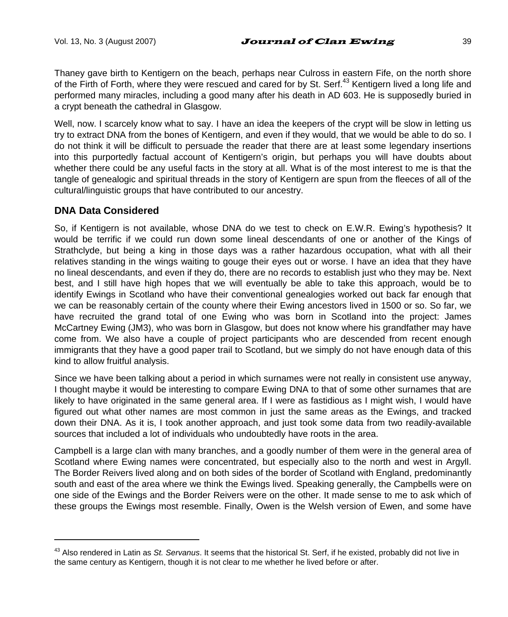Thaney gave birth to Kentigern on the beach, perhaps near Culross in eastern Fife, on the north shore of the Firth of Forth, where they were rescued and cared for by St. Serf.<sup>43</sup> Kentigern lived a long life and performed many miracles, including a good many after his death in AD 603. He is supposedly buried in a crypt beneath the cathedral in Glasgow.

Well, now. I scarcely know what to say. I have an idea the keepers of the crypt will be slow in letting us try to extract DNA from the bones of Kentigern, and even if they would, that we would be able to do so. I do not think it will be difficult to persuade the reader that there are at least some legendary insertions into this purportedly factual account of Kentigern's origin, but perhaps you will have doubts about whether there could be any useful facts in the story at all. What is of the most interest to me is that the tangle of genealogic and spiritual threads in the story of Kentigern are spun from the fleeces of all of the cultural/linguistic groups that have contributed to our ancestry.

### **DNA Data Considered**

 $\overline{a}$ 

So, if Kentigern is not available, whose DNA do we test to check on E.W.R. Ewing's hypothesis? It would be terrific if we could run down some lineal descendants of one or another of the Kings of Strathclyde, but being a king in those days was a rather hazardous occupation, what with all their relatives standing in the wings waiting to gouge their eyes out or worse. I have an idea that they have no lineal descendants, and even if they do, there are no records to establish just who they may be. Next best, and I still have high hopes that we will eventually be able to take this approach, would be to identify Ewings in Scotland who have their conventional genealogies worked out back far enough that we can be reasonably certain of the county where their Ewing ancestors lived in 1500 or so. So far, we have recruited the grand total of one Ewing who was born in Scotland into the project: James McCartney Ewing (JM3), who was born in Glasgow, but does not know where his grandfather may have come from. We also have a couple of project participants who are descended from recent enough immigrants that they have a good paper trail to Scotland, but we simply do not have enough data of this kind to allow fruitful analysis.

Since we have been talking about a period in which surnames were not really in consistent use anyway, I thought maybe it would be interesting to compare Ewing DNA to that of some other surnames that are likely to have originated in the same general area. If I were as fastidious as I might wish, I would have figured out what other names are most common in just the same areas as the Ewings, and tracked down their DNA. As it is, I took another approach, and just took some data from two readily-available sources that included a lot of individuals who undoubtedly have roots in the area.

Campbell is a large clan with many branches, and a goodly number of them were in the general area of Scotland where Ewing names were concentrated, but especially also to the north and west in Argyll. The Border Reivers lived along and on both sides of the border of Scotland with England, predominantly south and east of the area where we think the Ewings lived. Speaking generally, the Campbells were on one side of the Ewings and the Border Reivers were on the other. It made sense to me to ask which of these groups the Ewings most resemble. Finally, Owen is the Welsh version of Ewen, and some have

<sup>43</sup> Also rendered in Latin as *St. Servanus*. It seems that the historical St. Serf, if he existed, probably did not live in the same century as Kentigern, though it is not clear to me whether he lived before or after.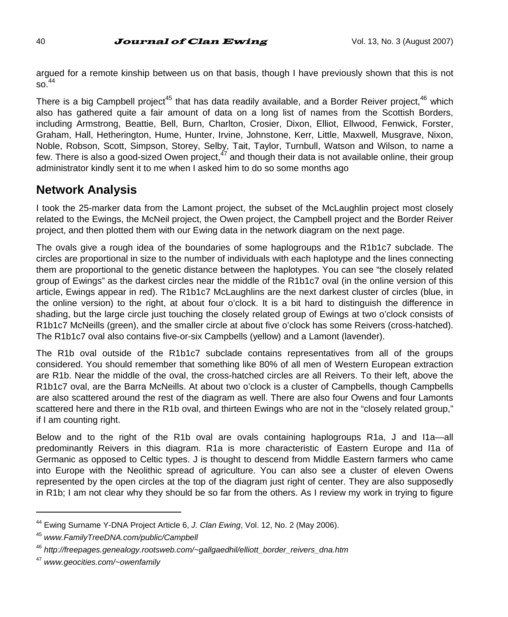argued for a remote kinship between us on that basis, though I have previously shown that this is not  $\mathrm{so}^{\phantom{0}44}$ 

There is a big Campbell project<sup>45</sup> that has data readily available, and a Border Reiver project,<sup>46</sup> which also has gathered quite a fair amount of data on a long list of names from the Scottish Borders, including Armstrong, Beattie, Bell, Burn, Charlton, Crosier, Dixon, Elliot, Ellwood, Fenwick, Forster, Graham, Hall, Hetherington, Hume, Hunter, Irvine, Johnstone, Kerr, Little, Maxwell, Musgrave, Nixon, Noble, Robson, Scott, Simpson, Storey, Selby, Tait, Taylor, Turnbull, Watson and Wilson, to name a few. There is also a good-sized Owen project,  $47$  and though their data is not available online, their group administrator kindly sent it to me when I asked him to do so some months ago

## **Network Analysis**

I took the 25-marker data from the Lamont project, the subset of the McLaughlin project most closely related to the Ewings, the McNeil project, the Owen project, the Campbell project and the Border Reiver project, and then plotted them with our Ewing data in the network diagram on the next page.

The ovals give a rough idea of the boundaries of some haplogroups and the R1b1c7 subclade. The circles are proportional in size to the number of individuals with each haplotype and the lines connecting them are proportional to the genetic distance between the haplotypes. You can see "the closely related group of Ewings" as the darkest circles near the middle of the R1b1c7 oval (in the online version of this article, Ewings appear in red). The R1b1c7 McLaughlins are the next darkest cluster of circles (blue, in the online version) to the right, at about four o'clock. It is a bit hard to distinguish the difference in shading, but the large circle just touching the closely related group of Ewings at two o'clock consists of R1b1c7 McNeills (green), and the smaller circle at about five o'clock has some Reivers (cross-hatched). The R1b1c7 oval also contains five-or-six Campbells (yellow) and a Lamont (lavender).

The R1b oval outside of the R1b1c7 subclade contains representatives from all of the groups considered. You should remember that something like 80% of all men of Western European extraction are R1b. Near the middle of the oval, the cross-hatched circles are all Reivers. To their left, above the R1b1c7 oval, are the Barra McNeills. At about two o'clock is a cluster of Campbells, though Campbells are also scattered around the rest of the diagram as well. There are also four Owens and four Lamonts scattered here and there in the R1b oval, and thirteen Ewings who are not in the "closely related group," if I am counting right.

Below and to the right of the R1b oval are ovals containing haplogroups R1a, J and I1a—all predominantly Reivers in this diagram. R1a is more characteristic of Eastern Europe and I1a of Germanic as opposed to Celtic types. J is thought to descend from Middle Eastern farmers who came into Europe with the Neolithic spread of agriculture. You can also see a cluster of eleven Owens represented by the open circles at the top of the diagram just right of center. They are also supposedly in R1b; I am not clear why they should be so far from the others. As I review my work in trying to figure

<sup>44</sup> Ewing Surname Y-DNA Project Article 6, *J. Clan Ewing*, Vol. 12, No. 2 (May 2006).

<sup>45</sup> *www.FamilyTreeDNA.com/public/Campbell*

<sup>46</sup> *http://freepages.genealogy.rootsweb.com/~gallgaedhil/elliott\_border\_reivers\_dna.htm*

<sup>47</sup> *www.geocities.com/~owenfamily*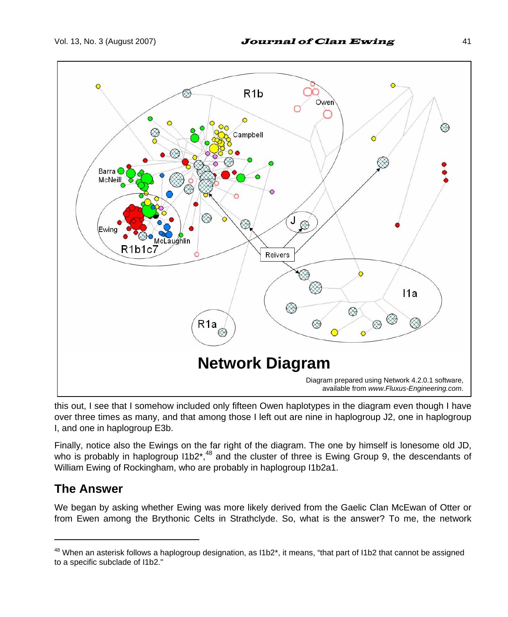

this out, I see that I somehow included only fifteen Owen haplotypes in the diagram even though I have over three times as many, and that among those I left out are nine in haplogroup J2, one in haplogroup I, and one in haplogroup E3b.

Finally, notice also the Ewings on the far right of the diagram. The one by himself is lonesome old JD, who is probably in haplogroup  $11b2^*$ ,<sup>48</sup> and the cluster of three is Ewing Group 9, the descendants of William Ewing of Rockingham, who are probably in haplogroup I1b2a1.

### **The Answer**

 $\overline{a}$ 

We began by asking whether Ewing was more likely derived from the Gaelic Clan McEwan of Otter or from Ewen among the Brythonic Celts in Strathclyde. So, what is the answer? To me, the network

 $48$  When an asterisk follows a haplogroup designation, as  $11b2^*$ , it means, "that part of  $11b2$  that cannot be assigned to a specific subclade of I1b2."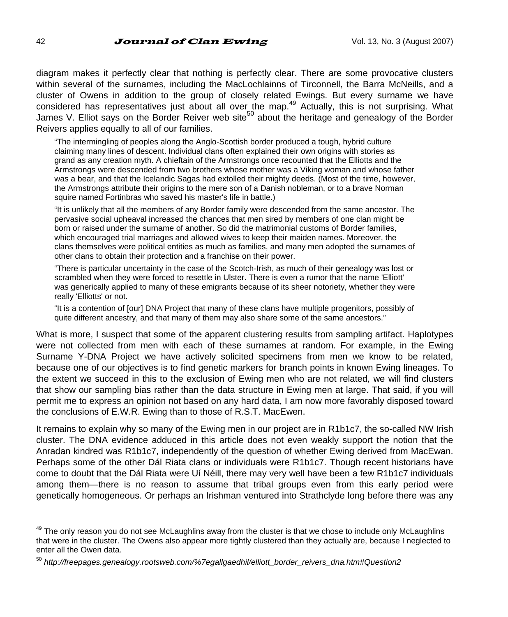diagram makes it perfectly clear that nothing is perfectly clear. There are some provocative clusters within several of the surnames, including the MacLochlainns of Tirconnell, the Barra McNeills, and a cluster of Owens in addition to the group of closely related Ewings. But every surname we have considered has representatives just about all over the map.<sup>49</sup> Actually, this is not surprising. What James V. Elliot says on the Border Reiver web site<sup>50</sup> about the heritage and genealogy of the Border Reivers applies equally to all of our families.

"The intermingling of peoples along the Anglo-Scottish border produced a tough, hybrid culture claiming many lines of descent. Individual clans often explained their own origins with stories as grand as any creation myth. A chieftain of the Armstrongs once recounted that the Elliotts and the Armstrongs were descended from two brothers whose mother was a Viking woman and whose father was a bear, and that the Icelandic Sagas had extolled their mighty deeds. (Most of the time, however, the Armstrongs attribute their origins to the mere son of a Danish nobleman, or to a brave Norman squire named Fortinbras who saved his master's life in battle.)

"It is unlikely that all the members of any Border family were descended from the same ancestor. The pervasive social upheaval increased the chances that men sired by members of one clan might be born or raised under the surname of another. So did the matrimonial customs of Border families, which encouraged trial marriages and allowed wives to keep their maiden names. Moreover, the clans themselves were political entities as much as families, and many men adopted the surnames of other clans to obtain their protection and a franchise on their power.

"There is particular uncertainty in the case of the Scotch-Irish, as much of their genealogy was lost or scrambled when they were forced to resettle in Ulster. There is even a rumor that the name 'Elliott' was generically applied to many of these emigrants because of its sheer notoriety, whether they were really 'Elliotts' or not.

"It is a contention of [our] DNA Project that many of these clans have multiple progenitors, possibly of quite different ancestry, and that many of them may also share some of the same ancestors."

What is more, I suspect that some of the apparent clustering results from sampling artifact. Haplotypes were not collected from men with each of these surnames at random. For example, in the Ewing Surname Y-DNA Project we have actively solicited specimens from men we know to be related, because one of our objectives is to find genetic markers for branch points in known Ewing lineages. To the extent we succeed in this to the exclusion of Ewing men who are not related, we will find clusters that show our sampling bias rather than the data structure in Ewing men at large. That said, if you will permit me to express an opinion not based on any hard data, I am now more favorably disposed toward the conclusions of E.W.R. Ewing than to those of R.S.T. MacEwen.

It remains to explain why so many of the Ewing men in our project are in R1b1c7, the so-called NW Irish cluster. The DNA evidence adduced in this article does not even weakly support the notion that the Anradan kindred was R1b1c7, independently of the question of whether Ewing derived from MacEwan. Perhaps some of the other Dál Riata clans or individuals were R1b1c7. Though recent historians have come to doubt that the Dál Riata were Uí Néill, there may very well have been a few R1b1c7 individuals among them—there is no reason to assume that tribal groups even from this early period were genetically homogeneous. Or perhaps an Irishman ventured into Strathclyde long before there was any

<sup>&</sup>lt;sup>49</sup> The only reason you do not see McLaughlins away from the cluster is that we chose to include only McLaughlins that were in the cluster. The Owens also appear more tightly clustered than they actually are, because I neglected to enter all the Owen data.

<sup>50</sup> *http://freepages.genealogy.rootsweb.com/%7egallgaedhil/elliott\_border\_reivers\_dna.htm#Question2*